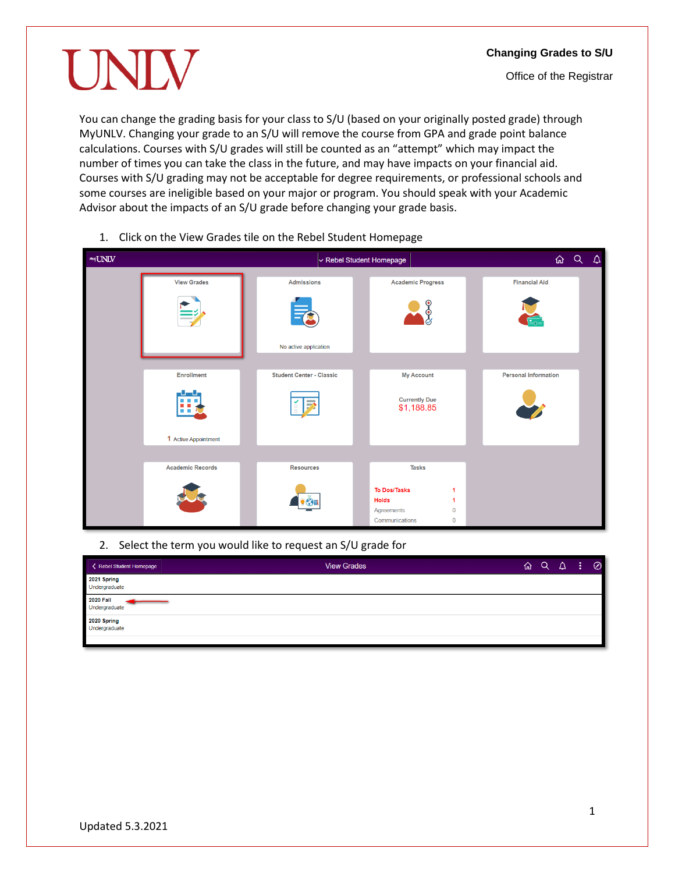UNIV

You can change the grading basis for your class to S/U (based on your originally posted grade) through MyUNLV. Changing your grade to an S/U will remove the course from GPA and grade point balance calculations. Courses with S/U grades will still be counted as an "attempt" which may impact the number of times you can take the class in the future, and may have impacts on your financial aid. Courses with S/U grading may not be acceptable for degree requirements, or professional schools and some courses are ineligible based on your major or program. You should speak with your Academic Advisor about the impacts of an S/U grade before changing your grade basis.

- $mq$ UNLV ん Q v Rebel Student Homepage  $\Delta$ **View Grades** Admissions **Academic Progress Financial Aid** <u>ိ</u> No active application Enrollment **Student Center - Classic** My Account **Personal Information Currently Due** \$1,188.85 1 Active Appointment **Academic Records Resources Tasks** To Dos/Tasks  $\overline{1}$ Holds  $\overline{1}$  $\bullet$  Sin  $\pmb{0}$ Agreements Communications  $\Omega$
- 1. Click on the View Grades tile on the Rebel Student Homepage

2. Select the term you would like to request an S/U grade for

| < Rebel Student Homepage          | <b>View Grades</b> | ⋒ | $Q \Delta$ | <b>AST</b> | $\odot$ |
|-----------------------------------|--------------------|---|------------|------------|---------|
| 2021 Spring<br>Undergraduate      |                    |   |            |            |         |
| <b>2020 Fall</b><br>Undergraduate |                    |   |            |            |         |
| 2020 Spring<br>Undergraduate      |                    |   |            |            |         |
|                                   |                    |   |            |            |         |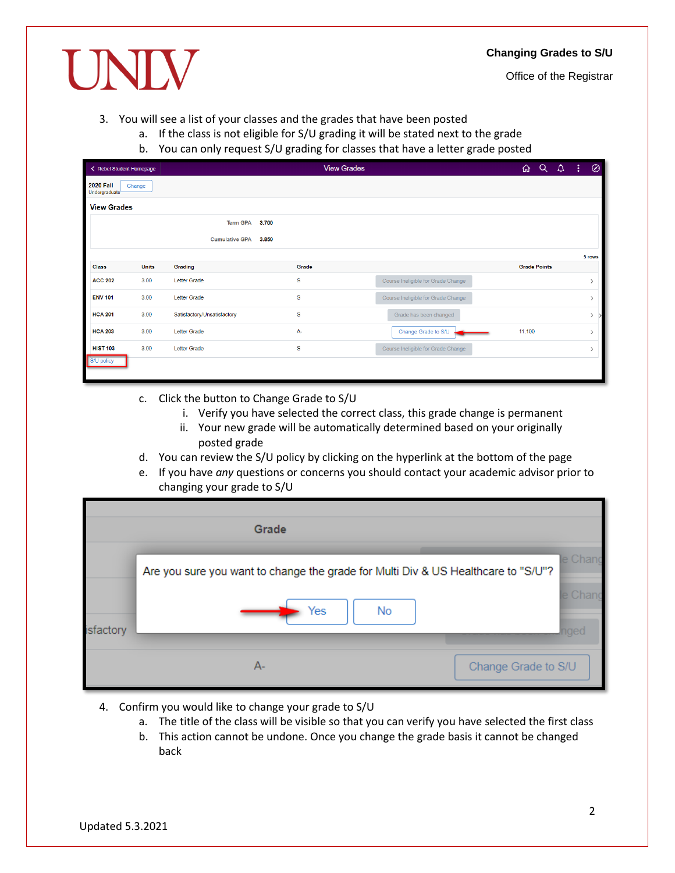#### **Changing Grades to S/U**

Office of the Registrar

UNIV

#### 3. You will see a list of your classes and the grades that have been posted

- a. If the class is not eligible for S/U grading it will be stated next to the grade
	- b. You can only request S/U grading for classes that have a letter grade posted

| < Rebel Student Homepage          |              |                                | <b>View Grades</b> |                                    | ⋒      | $Q_{\parallel}$     | $\Delta$ | -31 | $\circledcirc$ |
|-----------------------------------|--------------|--------------------------------|--------------------|------------------------------------|--------|---------------------|----------|-----|----------------|
| <b>2020 Fall</b><br>Undergraduate | Change       |                                |                    |                                    |        |                     |          |     |                |
| <b>View Grades</b>                |              |                                |                    |                                    |        |                     |          |     |                |
|                                   |              | <b>Term GPA</b><br>3.700       |                    |                                    |        |                     |          |     |                |
|                                   |              | <b>Cumulative GPA</b><br>3.850 |                    |                                    |        |                     |          |     |                |
|                                   |              |                                |                    |                                    |        |                     |          |     | 5 rows         |
| <b>Class</b>                      | <b>Units</b> | Grading                        | Grade              |                                    |        | <b>Grade Points</b> |          |     |                |
| <b>ACC 202</b>                    | 3.00         | <b>Letter Grade</b>            | s                  | Course Ineligible for Grade Change |        |                     |          |     | $\rightarrow$  |
| <b>ENV 101</b>                    | 3.00         | <b>Letter Grade</b>            | s                  | Course Ineligible for Grade Change |        |                     |          |     | $\rightarrow$  |
| <b>HCA 201</b>                    | 3.00         | Satisfactory/Unsatisfactory    | s                  | Grade has been changed             |        |                     |          |     | $>$ >          |
| <b>HCA 203</b>                    | 3.00         | <b>Letter Grade</b>            | $A -$              | Change Grade to S/U                | 11.100 |                     |          |     | $\rightarrow$  |
| <b>HIST 103</b>                   | 3.00         | <b>Letter Grade</b>            | s                  | Course Ineligible for Grade Change |        |                     |          |     | $\rightarrow$  |
| S/U policy                        |              |                                |                    |                                    |        |                     |          |     |                |

- c. Click the button to Change Grade to S/U
	- i. Verify you have selected the correct class, this grade change is permanent
	- ii. Your new grade will be automatically determined based on your originally posted grade
- d. You can review the S/U policy by clicking on the hyperlink at the bottom of the page
- e. If you have *any* questions or concerns you should contact your academic advisor prior to changing your grade to S/U

|           | Grade                                                                                          |                             |
|-----------|------------------------------------------------------------------------------------------------|-----------------------------|
| isfactory | Are you sure you want to change the grade for Multi Div & US Healthcare to "S/U"?<br>Yes<br>No | le Chang<br>e Chand         |
|           | $A -$                                                                                          | naec<br>Change Grade to S/U |

- 4. Confirm you would like to change your grade to S/U
	- a. The title of the class will be visible so that you can verify you have selected the first class
	- b. This action cannot be undone. Once you change the grade basis it cannot be changed back